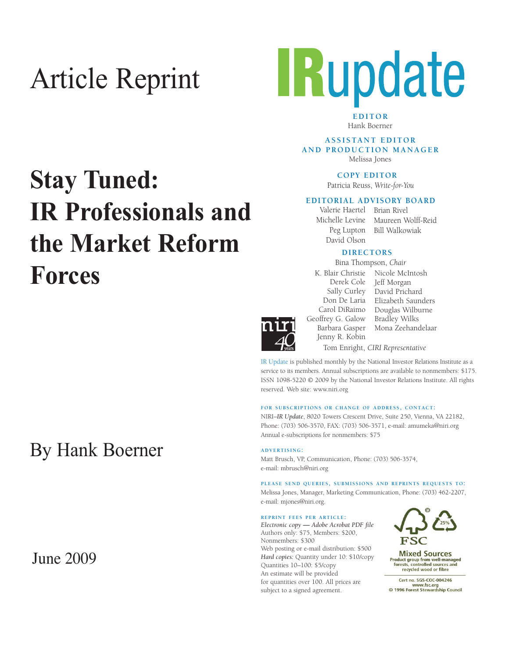# Article Reprint



**EDITOR** Hank Boerner

**A S S I S TA N T E D I T O R AND PRODUCTION MANAGER** Melissa Jones

**COPY EDITOR** 

Patricia Reuss, *Write-for-You*

#### **EDITORIAL ADVISORY BOARD**

Peg Lupton David Olson

Valerie Haertel Brian Rivel Michelle Levine Maureen Wolff-Reid Bill Walkowiak

#### **DIRECTORS**

Bina Thompson, *Chair*



Carol DiRaimo Geoffrey G. Galow Barbara Gasper Jenny R. Kobin

K. Blair Christie Nicole McIntosh Derek Cole Jeff Morgan Sally Curley David Prichard Don De Laria Elizabeth Saunders Douglas Wilburne Bradley Wilks Mona Zeehandelaar Tom Enright, *CIRI Representative*

IR Update is published monthly by the National Investor Relations Institute as a service to its members. Annual subscriptions are available to nonmembers: \$175. ISSN 1098-5220 © 2009 by the National Investor Relations Institute. All rights reserved. Web site: www.niri.org

#### **FOR SUBSCRIPTIONS OR CHANGE OF ADDRESS, CONTACT:**

NIRI–*IR Update*, 8020 Towers Crescent Drive, Suite 250, Vienna, VA 22182, Phone: (703) 506-3570, FAX: (703) 506-3571, e-mail: amumeka@niri.org Annual e-subscriptions for nonmembers: \$75

**ADVERTISING:**

Matt Brusch, VP, Communication, Phone: (703) 506-3574, e-mail: mbrusch@niri.org

**PLEASE SEND QUERIES, SUBMISSIONS AND REPRINTS REQUESTS TO:** Melissa Jones, Manager, Marketing Communication, Phone: (703) 462-2207, e-mail: mjones@niri.org.

#### **REPRINT FEES PER ARTICLE:**

*Electronic copy* **—** *Adobe Acrobat PDF file*  Authors only: \$75, Members: \$200, Nonmembers: \$300 Web posting or e-mail distribution: \$500 *Hard copies:* Quantity under 10: \$10/copy Quantities 10–100: \$5/copy An estimate will be provided for quantities over 100. All prices are subject to a signed agreement.



**Mixed Sources** Product group from well-managed<br>forests, controlled sources and recycled wood or fibre

Cert no. SGS-COC-004246 www.fsc.org<br>
© 1996 Forest Stewardship Council

# **Stay Tuned: IR Professionals and the Market Reform Forces**

## By Hank Boerner

## June 2009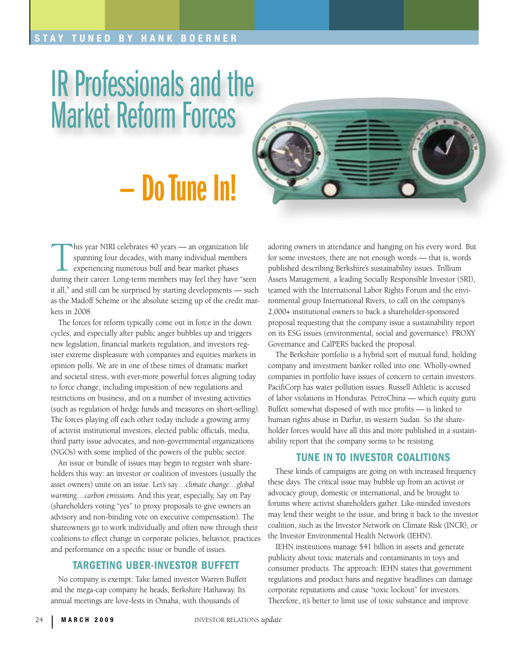### STAY TUNED BY HANK BOERNER

# IR Professionals and the Market Reform Forces

# — Do Tune In!



Inis year NIRI celebrates 40 years - an organization life spanning four decades, with many individual members experiencing numerous bull and bear market phases during their career. Long-term members may feel they have "seen it all," and still can be surprised by starting developments — such as the Madoff Scheme or the absolute seizing up of the credit markets in 2008.

The forces for reform typically come out in force in the down cycles, and especially after public anger bubbles up and triggers new legislation, financial markets regulation, and investors register extreme displeasure with companies and equities markets in opinion polls. We are in one of these times of dramatic market and societal stress, with ever-more powerful forces aligning today to force change, including imposition of new regulations and restrictions on business, and on a number of investing activities (such as regulation of hedge funds and measures on short-selling). The forces playing off each other today include a growing army of activist institutional investors, elected public officials, media, third party issue advocates, and non-governmental organizations (NGOs) with some implied of the powers of the public sector.

An issue or bundle of issues may begin to register with shareholders this way: an investor or coalition of investors (usually the asset owners) unite on an issue. Let's say…*climate change…global warming…carbon emissions.* And this year, especially, Say on Pay (shareholders voting "yes" to proxy proposals to give owners an advisory and non-binding vote on executive compensation). The shareowners go to work individually and often now through their coalitions to effect change in corporate policies, behavior, practices and performance on a specific issue or bundle of issues.

### Targeting Uber-Investor Buffett

No company is exempt: Take famed investor Warren Buffett and the mega-cap company he heads, Berkshire Hathaway. Its annual meetings are love-fests in Omaha, with thousands of

adoring owners in attendance and hanging on his every word. But for some investors, there are not enough words — that is, words published describing Berkshire's sustainability issues. Trillium Assets Management, a leading Socially Responsible Investor (SRI), teamed with the International Labor Rights Forum and the environmental group International Rivers, to call on the company's 2,000+ institutional owners to back a shareholder-sponsored proposal requesting that the company issue a sustainability report on its ESG issues (environmental, social and governance). PROXY Governance and CalPERS backed the proposal.

The Berkshire portfolio is a hybrid sort of mutual fund, holding company and investment banker rolled into one. Wholly-owned companies in portfolio have issues of concern to certain investors. PacifiCorp has water pollution issues. Russell Athletic is accused of labor violations in Honduras. PetroChina — which equity guru Buffett somewhat disposed of with nice profits — is linked to human rights abuse in Darfur, in western Sudan. So the shareholder forces would have all this and more published in a sustainability report that the company seems to be resisting.

#### Tune in to Investor Coalitions

These kinds of campaigns are going on with increased frequency these days. The critical issue may bubble up from an activist or advocacy group, domestic or international, and be brought to forums where activist shareholders gather. Like-minded investors may lend their weight to the issue, and bring it back to the investor coalition, such as the Investor Network on Climate Risk (INCR), or the Investor Environmental Health Network (IEHN).

IEHN institutions manage \$41 billion in assets and generate publicity about toxic materials and contaminants in toys and consumer products. The approach: IEHN states that government regulations and product bans and negative headlines can damage corporate reputations and cause "toxic lockout" for investors. Therefore, it's better to limit use of toxic substance and improve